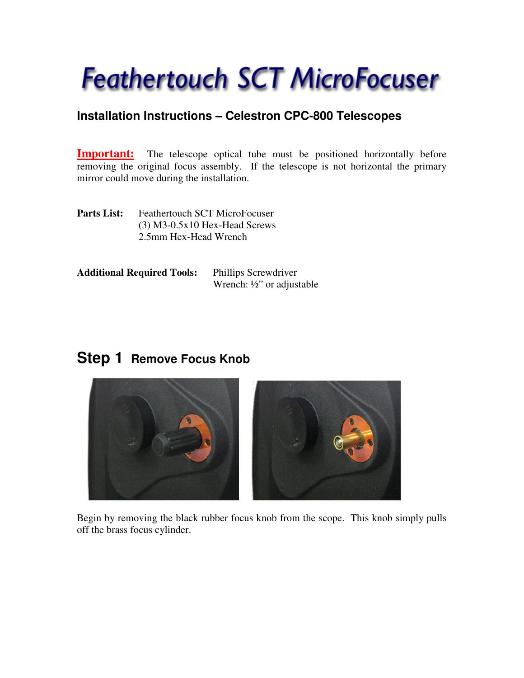# **Feathertouch SCT MicroFocuser**

## **Installation Instructions – Celestron CPC-800 Telescopes**

**Important:** The telescope optical tube must be positioned horizontally before removing the original focus assembly. If the telescope is not horizontal the primary mirror could move during the installation.

Parts List: Feathertouch SCT MicroFocuser (3) M3-0.5x10 Hex-Head Screws 2.5mm Hex-Head Wrench

| <b>Additional Required Tools:</b> | <b>Phillips Screwdriver</b>           |
|-----------------------------------|---------------------------------------|
|                                   | Wrench: $\frac{1}{2}$ " or adjustable |

# **Step 1 Remove Focus Knob**



Begin by removing the black rubber focus knob from the scope. This knob simply pulls off the brass focus cylinder.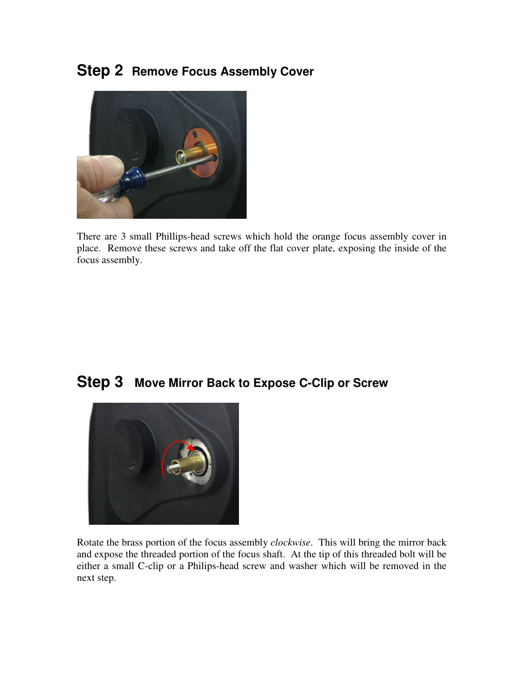# **Step 2 Remove Focus Assembly Cover**



There are 3 small Phillips-head screws which hold the orange focus assembly cover in place. Remove these screws and take off the flat cover plate, exposing the inside of the focus assembly.

## **Step 3 Move Mirror Back to Expose C-Clip or Screw**



Rotate the brass portion of the focus assembly *clockwise*. This will bring the mirror back and expose the threaded portion of the focus shaft. At the tip of this threaded bolt will be either a small C-clip or a Philips-head screw and washer which will be removed in the next step.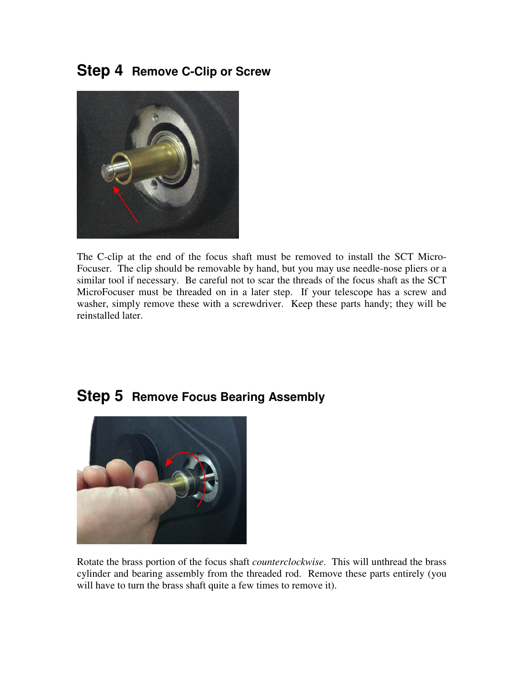# **Step 4 Remove C-Clip or Screw**



The C-clip at the end of the focus shaft must be removed to install the SCT Micro-Focuser. The clip should be removable by hand, but you may use needle-nose pliers or a similar tool if necessary. Be careful not to scar the threads of the focus shaft as the SCT MicroFocuser must be threaded on in a later step. If your telescope has a screw and washer, simply remove these with a screwdriver. Keep these parts handy; they will be reinstalled later.



#### **Step 5 Remove Focus Bearing Assembly**

Rotate the brass portion of the focus shaft *counterclockwise*. This will unthread the brass cylinder and bearing assembly from the threaded rod. Remove these parts entirely (you will have to turn the brass shaft quite a few times to remove it).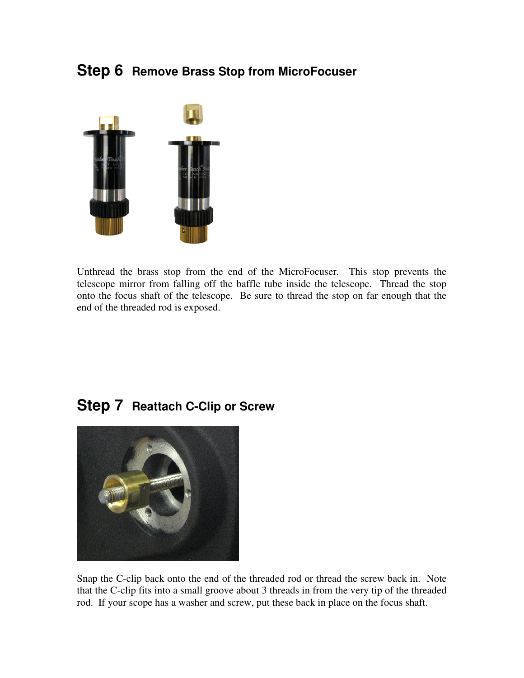## **Step 6 Remove Brass Stop from MicroFocuser**



Unthread the brass stop from the end of the MicroFocuser. This stop prevents the telescope mirror from falling off the baffle tube inside the telescope. Thread the stop onto the focus shaft of the telescope. Be sure to thread the stop on far enough that the end of the threaded rod is exposed.

## **Step 7 Reattach C-Clip or Screw**



Snap the C-clip back onto the end of the threaded rod or thread the screw back in. Note that the C-clip fits into a small groove about 3 threads in from the very tip of the threaded rod. If your scope has a washer and screw, put these back in place on the focus shaft.